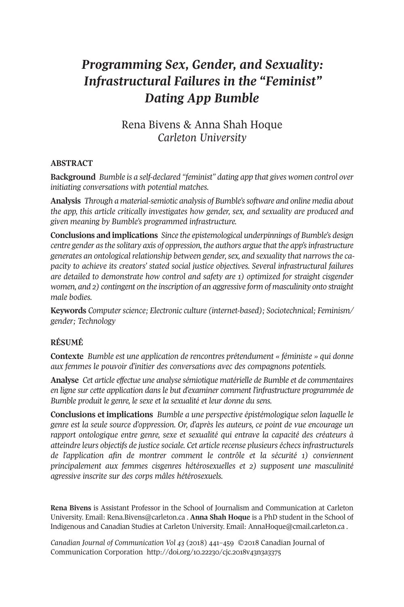# *Programming Sex, Gender, and Sexuality: Infrastructural Failures in the "Feminist" Dating App Bumble*

## Rena Bivens & Anna Shah Hoque *Carleton University*

## **ABSTRACT**

**Background** *Bumble is a self-declared "feminist" dating app that gives women control over initiating conversations with potential matches.*

**Analysis** *Through a material-semiotic analysis of Bumble'ssoftware and online media about the app, this article critically investigates how gender, sex, and sexuality are produced and given meaning by Bumble's programmed infrastructure.*

**Conclusions and implications** *Since the epistemological underpinnings of Bumble's design centre gender asthe solitary axis of oppression, the authors argue that the app'sinfrastructure generates an ontologicalrelationship between gender,sex, and sexuality that narrowsthe capacity to achieve its creators' stated social justice objectives. Several infrastructural failures are detailed to demonstrate how control and safety are 1) optimized for straight cisgender women, and 2) contingent on the inscription of an aggressive form of masculinity onto straight male bodies.*

**Keywords** *Computerscience; Electronic culture (internet-based); Sociotechnical; Feminism/ gender; Technology*

### **RÉSUMÉ**

**Contexte** *Bumble est une application de rencontres prétendument « féministe » qui donne aux femmes le pouvoir d'initier des conversations avec des compagnons potentiels.*

**Analyse** *Cet article effectue une analyse sémiotique matérielle de Bumble et de commentaires en ligne sur cette application dans le but d'examiner comment l'infrastructure programmée de Bumble produit le genre, le sexe et la sexualité et leur donne du sens.*

**Conclusions et implications** *Bumble a une perspective épistémologique selon laquelle le genre est la seule source d'oppression. Or, d'après les auteurs, ce point de vue encourage un rapport ontologique entre genre, sexe et sexualité qui entrave la capacité des créateurs à atteindre leurs objectifs de justice sociale. Cet article recense plusieurs échecs infrastructurels de l'application afin de montrer comment le contrôle et la sécurité 1) conviennent principalement aux femmes cisgenres hétérosexuelles et 2) supposent une masculinité agressive inscrite sur des corps mâles hétérosexuels.*

**Rena Bivens** is Assistant Professor in the School of Journalism and Communication at Carleton University. Email: [Rena.Bivens@carleton.ca](mailto:Rena.Bivens@carleton.ca) . **Anna Shah Hoque** is a PhD student in the School of Indigenous and Canadian Studies at Carleton University. Email: [AnnaHoque@cmail.carleton.ca](mailto:AnnaHoque@cmail.carleton.ca) .

*Canadian Journal of [Communication](http://www.cjc-online.ca) Vol 43* (2018) 441–459 ©2018 Canadian Journal of Communication Corporation <http://doi.org/10.22230/cjc.2018v43n3a3375>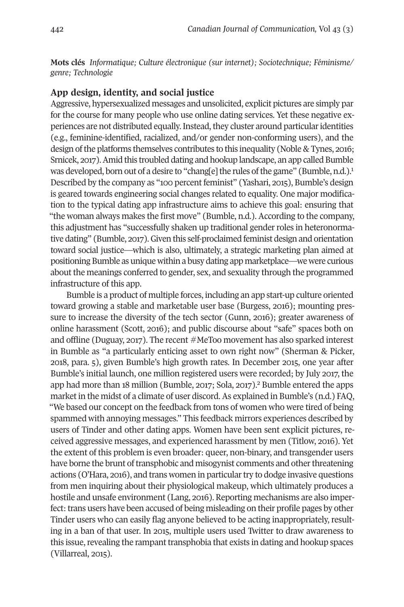**Mots clés** *Informatique; Culture électronique (sur internet); Sociotechnique; Féminisme/ genre; Technologie*

## **App design, identity, and social justice**

Aggressive, hypersexualized messages and unsolicited, explicit pictures are simply par for the course for many people who use online dating services. Yet these negative experiences are not distributed equally. Instead, they cluster around particular identities (e.g., feminine-identified, racialized, and/or gender non-conforming users), and the design of the platforms themselves contributes to this inequality (Noble & Tynes, 2016; Srnicek, 2017). Amid this troubled dating and hookup landscape, an app called Bumble was developed, born out of a desire to "chang[e] the rules of the game" (Bumble, n.d.).<sup>1</sup> Described by the company as "100 percent feminist" (Yashari, 2015), Bumble's design is geared towards engineering social changes related to equality. One major modification to the typical dating app infrastructure aims to achieve this goal: ensuring that "the woman always makes the first move" (Bumble, n.d.). According to the company, this adjustment has "successfully shaken up traditional genderroles in heteronormative dating" (Bumble, 2017).Given this self-proclaimed feminist design and orientation toward social justice—which is also, ultimately, a strategic marketing plan aimed at positioning Bumble as unique within a busy dating app marketplace—we were curious about the meanings conferred to gender, sex, and sexuality through the programmed infrastructure of this app.

Bumble is a product of multiple forces, including an app start-up culture oriented toward growing a stable and marketable user base (Burgess, 2016); mounting pressure to increase the diversity of the tech sector (Gunn, 2016); greater awareness of online harassment (Scott, 2016); and public discourse about "safe" spaces both on and offline (Duguay, 2017). The recent #MeToo movement has also sparked interest in Bumble as "a particularly enticing asset to own right now" (Sherman & Picker, 2018, para. 5), given Bumble's high growth rates. In December 2015, one year after Bumble's initial launch, one million registered users were recorded; by July 2017, the app had more than 18 million (Bumble, 2017; Sola, 2017). [2](#page-14-0) Bumble entered the apps market in the midst of a climate of user discord. As explained in Bumble's (n.d.) FAQ, "We based our concept on the feedback from tons of women who were tired of being spammed with annoying messages." This feedback mirrors experiences described by users of Tinder and other dating apps. Women have been sent explicit pictures, received aggressive messages, and experienced harassment by men (Titlow, 2016). Yet the extent of this problem is even broader: queer, non-binary, and transgender users have borne the brunt of transphobic and misogynist comments and other threatening actions (O'Hara, 2016), and trans women in particular try to dodge invasive questions from men inquiring about their physiological makeup, which ultimately produces a hostile and unsafe environment (Lang, 2016). Reporting mechanisms are also imperfect: trans users have been accused of being misleading on their profile pages by other Tinder users who can easily flag anyone believed to be acting inappropriately, resulting in a ban of that user. In 2015, multiple users used Twitter to draw awareness to this issue, revealing the rampant transphobia that exists in dating and hookup spaces (Villarreal, 2015).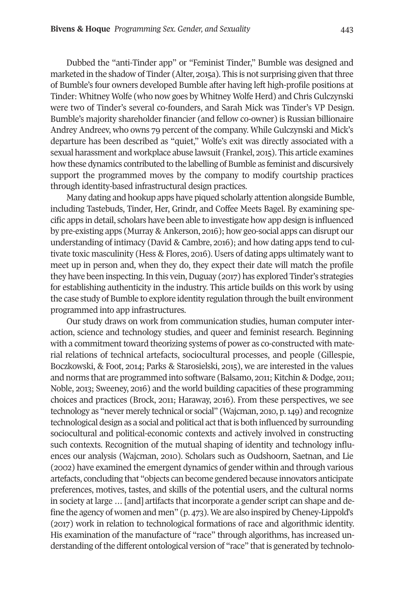Dubbed the "anti-Tinder app" or "Feminist Tinder," Bumble was designed and marketed in the shadow of Tinder (Alter, 2015a). This is not surprising given thatthree of Bumble's four owners developed Bumble after having left high-profile positions at Tinder: Whitney Wolfe (who now goes by Whitney Wolfe Herd) and Chris Gulczynski were two of Tinder's several co-founders, and Sarah Mick was Tinder's VP Design. Bumble's majority shareholder financier (and fellow co-owner) is Russian billionaire Andrey Andreev, who owns 79 percent of the company. While Gulczynski and Mick's departure has been described as "quiet," Wolfe's exit was directly associated with a sexual harassment and workplace abuse lawsuit (Frankel, 2015). This article examines how these dynamics contributed to the labelling of Bumble as feminist and discursively support the programmed moves by the company to modify courtship practices through identity-based infrastructural design practices.

Many dating and hookup apps have piqued scholarly attention alongside Bumble, including Tastebuds, Tinder, Her, Grindr, and Coffee Meets Bagel. By examining specific apps in detail, scholars have been able to investigate how app design is influenced by pre-existing apps (Murray & Ankerson, 2016); how geo-social apps can disrupt our understanding of intimacy (David & Cambre, 2016); and how dating apps tend to cultivate toxic masculinity (Hess & Flores, 2016). Users of dating apps ultimately want to meet up in person and, when they do, they expect their date will match the profile they have been inspecting. In this vein, Duguay (2017) has explored Tinder's strategies for establishing authenticity in the industry. This article builds on this work by using the case study of Bumble to explore identity regulation through the built environment programmed into app infrastructures.

Our study draws on work from communication studies, human computer interaction, science and technology studies, and queer and feminist research. Beginning with a commitment toward theorizing systems of power as co-constructed with material relations of technical artefacts, sociocultural processes, and people (Gillespie, Boczkowski, & Foot, 2014; Parks & Starosielski, 2015), we are interested in the values and norms that are programmed into software (Balsamo, 2011; Kitchin & Dodge, 2011; Noble, 2013; Sweeney, 2016) and the world building capacities of these programming choices and practices (Brock, 2011; Haraway, 2016). From these perspectives, we see technology as "never merely technical or social" (Wajcman, 2010, p.149) and recognize technological design as a social and political act that is both influenced by surrounding sociocultural and political-economic contexts and actively involved in constructing such contexts. Recognition of the mutual shaping of identity and technology influences our analysis (Wajcman, 2010). Scholars such as Oudshoorn, Saetnan, and Lie (2002) have examined the emergent dynamics of gender within and through various artefacts, concluding that "objects can become gendered because innovators anticipate preferences, motives, tastes, and skills of the potential users, and the cultural norms in society at large … [and] artifacts that incorporate a gender script can shape and define the agency of women and men" (p. 473). We are also inspired by Cheney-Lippold's (2017) work in relation to technological formations of race and algorithmic identity. His examination of the manufacture of "race" through algorithms, has increased understanding of the different ontological version of "race" that is generated by technolo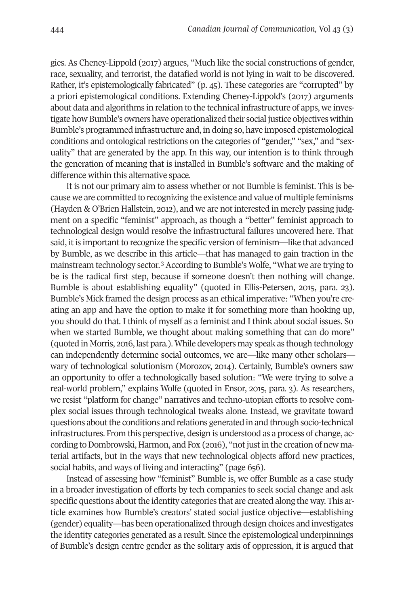gies. As Cheney-Lippold (2017) argues, "Much like the social constructions of gender, race, sexuality, and terrorist, the datafied world is not lying in wait to be discovered. Rather, it's epistemologically fabricated" (p. 45). These categories are "corrupted" by a priori epistemological conditions. Extending Cheney-Lippold's (2017) arguments about data and algorithms in relation to the technical infrastructure of apps, we investigate how Bumble's owners have operationalized their social justice objectives within Bumble's programmed infrastructure and, in doing so, have imposed epistemological conditions and ontological restrictions on the categories of "gender," "sex," and "sexuality" that are generated by the app. In this way, our intention is to think through the generation of meaning that is installed in Bumble's software and the making of difference within this alternative space.

It is not our primary aim to assess whether or not Bumble is feminist. This is because we are committed to recognizing the existence and value of multiple feminisms (Hayden & O'Brien Hallstein, 2012), and we are not interested in merely passing judgment on a specific "feminist" approach, as though a "better" feminist approach to technological design would resolve the infrastructural failures uncovered here. That said, it is important to recognize the specific version of feminism—like that advanced by Bumble, as we describe in [th](#page-14-1)is article—that has managed to gain traction in the mainstream technology sector. <sup>3</sup> According to Bumble's Wolfe, "What we are trying to be is the radical first step, because if someone doesn't then nothing will change. Bumble is about establishing equality" (quoted in Ellis-Petersen, 2015, para. 23). Bumble's Mick framed the design process as an ethical imperative: "When you're creating an app and have the option to make it for something more than hooking up, you should do that. I think of myself as a feminist and I think about social issues. So when we started Bumble, we thought about making something that can do more" (quoted in Morris, 2016, last para.). While developers may speak as though technology can independently determine social outcomes, we are—like many other scholars wary of technological solutionism (Morozov, 2014). Certainly, Bumble's owners saw an opportunity to offer a technologically based solution: "We were trying to solve a real-world problem," explains Wolfe (quoted in Ensor, 2015, para. 3). As researchers, we resist "platform for change" narratives and techno-utopian efforts to resolve complex social issues through technological tweaks alone. Instead, we gravitate toward questions about the conditions and relations generated in and through socio-technical infrastructures. From this perspective, design is understood as a process of change, according to Dombrowski, Harmon, and Fox (2016), "not just in the creation of new material artifacts, but in the ways that new technological objects afford new practices, social habits, and ways of living and interacting" (page 656).

Instead of assessing how "feminist" Bumble is, we offer Bumble as a case study in a broader investigation of efforts by tech companies to seek social change and ask specific questions about the identity categories that are created along the way. This article examines how Bumble's creators' stated social justice objective—establishing (gender) equality—has been operationalized through design choices and investigates the identity categories generated as a result. Since the epistemological underpinnings of Bumble's design centre gender as the solitary axis of oppression, it is argued that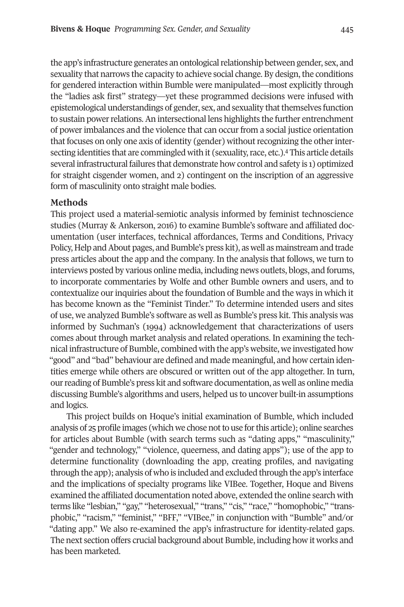the app's infrastructure generates an ontological relationship between gender, sex, and sexuality that narrows the capacity to achieve social change. By design, the conditions for gendered interaction within Bumble were manipulated—most explicitly through the "ladies ask first" strategy—yet these programmed decisions were infused with epistemological understandings of gender, sex, and sexuality that themselves function to sustain power relations. An intersectional lens highlights the further entrenchment of power imbalances and the violence that can occur from a social justice orientation that focuses on only one axis of identity (gender) without recognizing the other intersecting identities that are commingled with it (sexuality, race, etc.).<sup>4</sup> This article details several infrastructural failures that demonstrate how control and safety is 1) optimized for straight cisgender women, and 2) contingent on the inscription of an aggressive form of masculinity onto straight male bodies.

## **Methods**

This project used a material-semiotic analysis informed by feminist technoscience studies (Murray & Ankerson, 2016) to examine Bumble's software and affiliated documentation (user interfaces, technical affordances, Terms and Conditions, Privacy Policy, Help and About pages, and Bumble's press kit), as well as mainstream and trade press articles about the app and the company. In the analysis that follows, we turn to interviews posted by various online media, including news outlets, blogs, and forums, to incorporate commentaries by Wolfe and other Bumble owners and users, and to contextualize our inquiries about the foundation of Bumble and the ways in which it has become known as the "Feminist Tinder." To determine intended users and sites of use, we analyzed Bumble's software as well as Bumble's press kit. This analysis was informed by Suchman's (1994) acknowledgement that characterizations of users comes about through market analysis and related operations. In examining the technical infrastructure of Bumble, combined with the app's website, we investigated how "good" and "bad" behaviour are defined and made meaningful, and how certain identities emerge while others are obscured or written out of the app altogether. In turn, ourreading of Bumble's press kit and software documentation, as well as online media discussing Bumble's algorithms and users, helped us to uncover built-in assumptions and logics.

This project builds on Hoque's initial examination of Bumble, which included analysis of 25 profile images (which we chose notto use forthis article); online searches for articles about Bumble (with search terms such as "dating apps," "masculinity," "gender and technology," "violence, queerness, and dating apps"); use of the app to determine functionality (downloading the app, creating profiles, and navigating through the app); analysis of who is included and excluded through the app's interface and the implications of specialty programs like VIBee. Together, Hoque and Bivens examined the affiliated documentation noted above, extended the online search with terms like "lesbian," "gay," "heterosexual," "trans," "cis," "race," "homophobic," "transphobic," "racism," "feminist," "BFF," "VIBee," in conjunction with "Bumble" and/or "dating app." We also re-examined the app's infrastructure for identity-related gaps. The next section offers crucial background about Bumble, including how it works and has been marketed.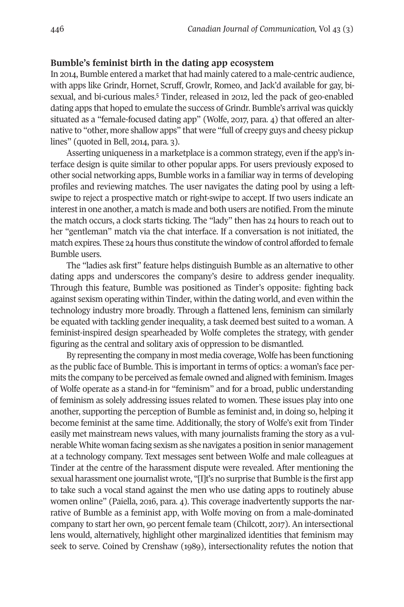## **Bumble's feminist birth in the dating app ecosystem**

In 2014, Bumble entered a market that had mainly catered to a male-centric audience, with apps like Grindr, Hornet, Scruff, Growlr, Romeo, and Jack'd available for gay, bisexual, and bi-curious males. <sup>5</sup> Tinder, released in 2012, led the pack of geo-enabled dating apps that hoped to emulate the success of Grindr. Bumble's arrival was quickly situated as a "female-focused dating app" (Wolfe, 2017, para. 4) that offered an alternative to "other, more shallow apps" that were "full of creepy guys and cheesy pickup lines" (quoted in Bell, 2014, para. 3).

Asserting uniqueness in a marketplace is a common strategy, even if the app's interface design is quite similar to other popular apps. For users previously exposed to other social networking apps, Bumble works in a familiar way in terms of developing profiles and reviewing matches. The user navigates the dating pool by using a leftswipe to reject a prospective match or right-swipe to accept. If two users indicate an interestin one another, a match is made and both users are notified. From the minute the match occurs, a clock starts ticking. The "lady" then has 24 hours to reach out to her "gentleman" match via the chat interface. If a conversation is not initiated, the match expires. These 24 hours thus constitute the window of control afforded to female Bumble users.

The "ladies ask first" feature helps distinguish Bumble as an alternative to other dating apps and underscores the company's desire to address gender inequality. Through this feature, Bumble was positioned as Tinder's opposite: fighting back against sexism operating within Tinder, within the dating world, and even within the technology industry more broadly. Through a flattened lens, feminism can similarly be equated with tackling gender inequality, a task deemed best suited to a woman. A feminist-inspired design spearheaded by Wolfe completes the strategy, with gender figuring as the central and solitary axis of oppression to be dismantled.

By representing the company in most media coverage, Wolfe has been functioning as the public face of Bumble. This is important in terms of optics: a woman's face permits the company to be perceived as female owned and aligned with feminism.Images of Wolfe operate as a stand-in for "feminism" and for a broad, public understanding of feminism as solely addressing issues related to women. These issues play into one another, supporting the perception of Bumble as feminist and, in doing so, helping it become feminist at the same time. Additionally, the story of Wolfe's exit from Tinder easily met mainstream news values, with many journalists framing the story as a vulnerable White woman facing sexism as she navigates a position in senior management at a technology company. Text messages sent between Wolfe and male colleagues at Tinder at the centre of the harassment dispute were revealed. After mentioning the sexual harassment one journalist wrote, "[I]t's no surprise that Bumble is the first app to take such a vocal stand against the men who use dating apps to routinely abuse women online" (Paiella, 2016, para. 4). This coverage inadvertently supports the narrative of Bumble as a feminist app, with Wolfe moving on from a male-dominated company to start her own, 90 percent female team (Chilcott, 2017). An intersectional lens would, alternatively, highlight other marginalized identities that feminism may seek to serve. Coined by Crenshaw (1989), intersectionality refutes the notion that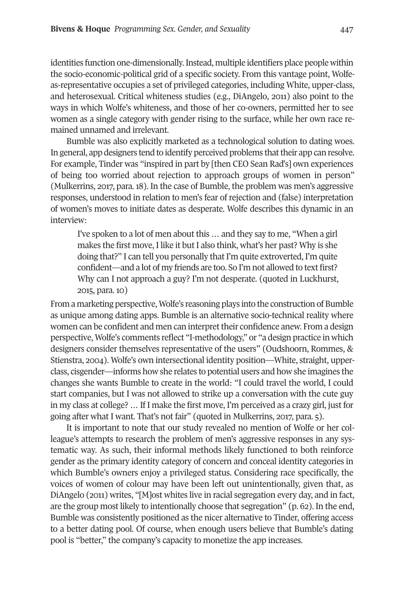identities function one-dimensionally.Instead, multiple identifiers place people within the socio-economic-political grid of a specific society. From this vantage point, Wolfeas-representative occupies a set of privileged categories, including White, upper-class, and heterosexual. Critical whiteness studies (e.g., DiAngelo, 2011) also point to the ways in which Wolfe's whiteness, and those of her co-owners, permitted her to see women as a single category with gender rising to the surface, while her own race remained unnamed and irrelevant.

Bumble was also explicitly marketed as a technological solution to dating woes. In general, app designers tend to identify perceived problems thattheir app can resolve. For example, Tinder was "inspired in part by [then CEO Sean Rad's] own experiences of being too worried about rejection to approach groups of women in person" (Mulkerrins, 2017, para. 18). In the case of Bumble, the problem was men's aggressive responses, understood in relation to men's fear of rejection and (false) interpretation of women's moves to initiate dates as desperate. Wolfe describes this dynamic in an interview:

I've spoken to a lot of men about this … and they say to me, "When a girl makes the first move, I like it but I also think, what's her past? Why is she doing that?" I can tell you personally that I'm quite extroverted, I'm quite confident—and a lot of my friends are too. So I'm not allowed to text first? Why can I not approach a guy? I'm not desperate. (quoted in Luckhurst, 2015, para. 10)

From a marketing perspective, Wolfe's reasoning plays into the construction of Bumble as unique among dating apps. Bumble is an alternative socio-technical reality where women can be confident and men can interpret their confidence anew. From a design perspective, Wolfe's comments reflect "I-methodology," or "a design practice in which designers consider themselves representative of the users" (Oudshoorn, Rommes, & Stienstra, 2004). Wolfe's own intersectional identity position—White, straight, upperclass, cisgender—informs how she relates to potential users and how she imagines the changes she wants Bumble to create in the world: "I could travel the world, I could start companies, but I was not allowed to strike up a conversation with the cute guy in my class at college? … If I make the first move, I'm perceived as a crazy girl, just for going after what I want. That's not fair" (quoted in Mulkerrins, 2017, para. 5).

It is important to note that our study revealed no mention of Wolfe or her colleague's attempts to research the problem of men's aggressive responses in any systematic way. As such, their informal methods likely functioned to both reinforce gender as the primary identity category of concern and conceal identity categories in which Bumble's owners enjoy a privileged status. Considering race specifically, the voices of women of colour may have been left out unintentionally, given that, as DiAngelo (2011) writes, "[M]ost whites live in racial segregation every day, and in fact, are the group most likely to intentionally choose that segregation" (p. 62). In the end, Bumble was consistently positioned as the nicer alternative to Tinder, offering access to a better dating pool. Of course, when enough users believe that Bumble's dating pool is "better," the company's capacity to monetize the app increases.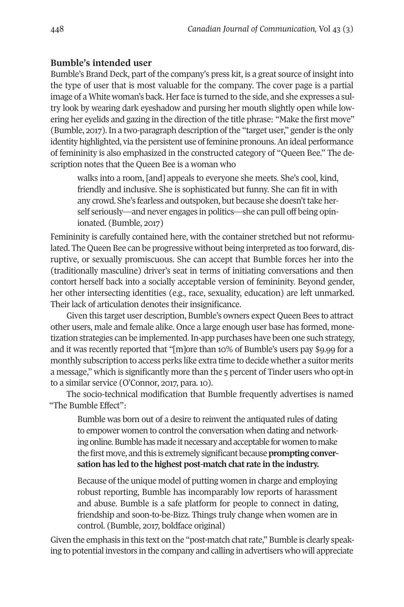## **Bumble's intended user**

Bumble's Brand Deck, part of the company's press kit, is a great source of insight into the type of user that is most valuable for the company. The cover page is a partial image of a White woman's back. Herface is turned to the side, and she expresses a sultry look by wearing dark eyeshadow and pursing her mouth slightly open while lowering her eyelids and gazing in the direction of the title phrase: "Make the first move" (Bumble, 2017). In a two-paragraph description of the "target user," gender is the only identity highlighted, via the persistent use of feminine pronouns. An ideal performance of femininity is also emphasized in the constructed category of "Queen Bee." The description notes that the Queen Bee is a woman who

walks into a room, [and] appeals to everyone she meets. She's cool, kind, friendly and inclusive. She is sophisticated but funny. She can fit in with any crowd. She's fearless and outspoken, but because she doesn't take herself seriously—and never engages in politics—she can pull off being opinionated. (Bumble, 2017)

Femininity is carefully contained here, with the container stretched but not reformulated. The Queen Bee can be progressive without being interpreted as too forward, disruptive, or sexually promiscuous. She can accept that Bumble forces her into the (traditionally masculine) driver's seat in terms of initiating conversations and then contort herself back into a socially acceptable version of femininity. Beyond gender, her other intersecting identities (e.g., race, sexuality, education) are left unmarked. Their lack of articulation denotes their insignificance.

Given this target user description, Bumble's owners expect Queen Bees to attract other users, male and female alike. Once a large enough user base has formed, monetization strategies can be implemented.In-app purchases have been one such strategy, and it was recently reported that "[m]ore than 10% of Bumble's users pay \$9.99 for a monthly subscription to access perks like extra time to decide whether a suitor merits a message," which is significantly more than the 5 percent of Tinder users who opt-in to a similar service (O'Connor, 2017, para. 10).

The socio-technical modification that Bumble frequently advertises is named "The Bumble Effect":

Bumble was born out of a desire to reinvent the antiquated rules of dating to empower women to control the conversation when dating and networking online. Bumble has made it necessary and acceptable for women to make the first move, and this is extremely significant because **prompting conversation has led to the highest post-match chat rate in the industry.**

Because of the unique model of putting women in charge and employing robust reporting, Bumble has incomparably low reports of harassment and abuse. Bumble is a safe platform for people to connect in dating, friendship and soon-to-be-Bizz. Things truly change when women are in control. (Bumble, 2017, boldface original)

Given the emphasis in this text on the "post-match chatrate," Bumble is clearly speaking to potential investors in the company and calling in advertisers who will appreciate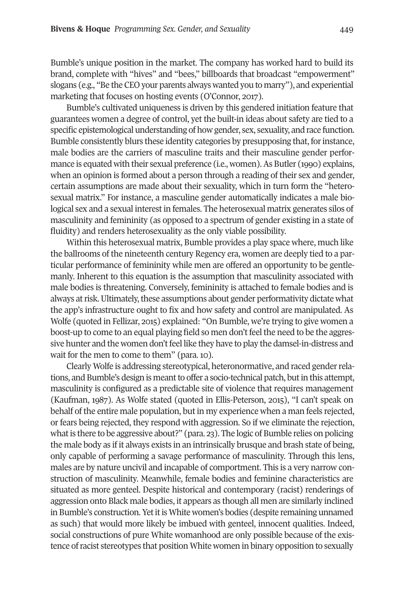Bumble's unique position in the market. The company has worked hard to build its brand, complete with "hives" and "bees," billboards that broadcast "empowerment" slogans (e.g., "Be the CEO your parents always wanted you to marry"), and experiential marketing that focuses on hosting events (O'Connor, 2017).

Bumble's cultivated uniqueness is driven by this gendered initiation feature that guarantees women a degree of control, yet the built-in ideas about safety are tied to a specific epistemological understanding of how gender, sex, sexuality, and race function. Bumble consistently blurs these identity categories by presupposing that, for instance, male bodies are the carriers of masculine traits and their masculine gender performance is equated with their sexual preference (i.e., women). As Butler (1990) explains, when an opinion is formed about a person through a reading of their sex and gender, certain assumptions are made about their sexuality, which in turn form the "heterosexual matrix." For instance, a masculine gender automatically indicates a male biological sex and a sexual interest in females. The heterosexual matrix generates silos of masculinity and femininity (as opposed to a spectrum of gender existing in a state of fluidity) and renders heterosexuality as the only viable possibility.

Within this heterosexual matrix, Bumble provides a play space where, much like the ballrooms of the nineteenth century Regency era, women are deeply tied to a particular performance of femininity while men are offered an opportunity to be gentlemanly. Inherent to this equation is the assumption that masculinity associated with male bodies is threatening. Conversely, femininity is attached to female bodies and is always at risk. Ultimately, these assumptions about gender performativity dictate what the app's infrastructure ought to fix and how safety and control are manipulated. As Wolfe (quoted in Fellizar, 2015) explained: "On Bumble, we're trying to give women a boost-up to come to an equal playing field so men don't feel the need to be the aggressive hunter and the women don't feel like they have to play the damsel-in-distress and wait for the men to come to them" (para. 10).

Clearly Wolfe is addressing stereotypical, heteronormative, and raced gender relations, and Bumble's design is meant to offer a socio-technical patch, but in this attempt, masculinity is configured as a predictable site of violence that requires management (Kaufman, 1987). As Wolfe stated (quoted in Ellis-Peterson, 2015), "I can't speak on behalf of the entire male population, but in my experience when a man feels rejected, or fears being rejected, they respond with aggression. So if we eliminate the rejection, what is there to be aggressive about?" (para. 23). The logic of Bumble relies on policing the male body as if it always exists in an intrinsically brusque and brash state of being, only capable of performing a savage performance of masculinity. Through this lens, males are by nature uncivil and incapable of comportment. This is a very narrow construction of masculinity. Meanwhile, female bodies and feminine characteristics are situated as more genteel. Despite historical and contemporary (racist) renderings of aggression onto Black male bodies, it appears as though all men are similarly inclined in Bumble's construction. Yet it is White women's bodies (despite remaining unnamed as such) that would more likely be imbued with genteel, innocent qualities. Indeed, social constructions of pure White womanhood are only possible because of the existence ofracist stereotypes that position White women in binary opposition to sexually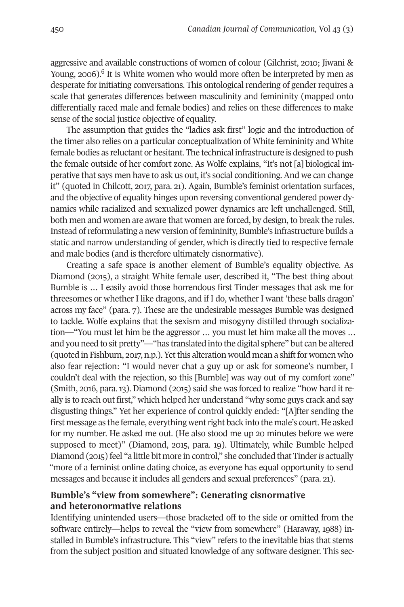aggressive and available constructions of women of colour (Gilchrist, 2010; Jiwani & Young, 200[6](#page-14-2)).<sup>6</sup> It is White women who would more often be interpreted by men as desperate for initiating conversations. This ontological rendering of gender requires a scale that generates differences between masculinity and femininity (mapped onto differentially raced male and female bodies) and relies on these differences to make sense of the social justice objective of equality.

The assumption that guides the "ladies ask first" logic and the introduction of the timer also relies on a particular conceptualization of White femininity and White female bodies as reluctant or hesitant. The technical infrastructure is designed to push the female outside of her comfort zone. As Wolfe explains, "It's not [a] biological imperative that says men have to ask us out, it's social conditioning. And we can change it" (quoted in Chilcott, 2017, para. 21). Again, Bumble's feminist orientation surfaces, and the objective of equality hinges upon reversing conventional gendered power dynamics while racialized and sexualized power dynamics are left unchallenged. Still, both men and women are aware that women are forced, by design, to break the rules. Instead ofreformulating a new version of femininity, Bumble's infrastructure builds a static and narrow understanding of gender, which is directly tied to respective female and male bodies (and is therefore ultimately cisnormative).

Creating a safe space is another element of Bumble's equality objective. As Diamond (2015), a straight White female user, described it, "The best thing about Bumble is … I easily avoid those horrendous first Tinder messages that ask me for threesomes or whether I like dragons, and if I do, whether I want 'these balls dragon' across my face" (para. 7). These are the undesirable messages Bumble was designed to tackle. Wolfe explains that the sexism and misogyny distilled through socialization—"You must let him be the aggressor … you must let him make all the moves … and you need to sit pretty"—"has translated into the digital sphere" but can be altered (quoted in Fishburn, 2017, n.p.). Yet this alteration would mean a shift for women who also fear rejection: "I would never chat a guy up or ask for someone's number, I couldn't deal with the rejection, so this [Bumble] was way out of my comfort zone" (Smith, 2016, para. 13). Diamond (2015) said she was forced to realize "how hard it really is to reach out first," which helped her understand "why some guys crack and say disgusting things." Yet her experience of control quickly ended: "[A]fter sending the first message as the female, everything wentright back into the male's court. He asked for my number. He asked me out. (He also stood me up 20 minutes before we were supposed to meet)" (Diamond, 2015, para. 19). Ultimately, while Bumble helped Diamond (2015) feel "a little bit more in control," she concluded that Tinder*is* actually "more of a feminist online dating choice, as everyone has equal opportunity to send messages and because it includes all genders and sexual preferences" (para. 21).

## **Bumble's "view from somewhere": Generating cisnormative and heteronormative relations**

Identifying unintended users—those bracketed off to the side or omitted from the software entirely—helps to reveal the "view from somewhere" (Haraway, 1988) installed in Bumble's infrastructure. This "view" refers to the inevitable bias that stems from the subject position and situated knowledge of any software designer. This sec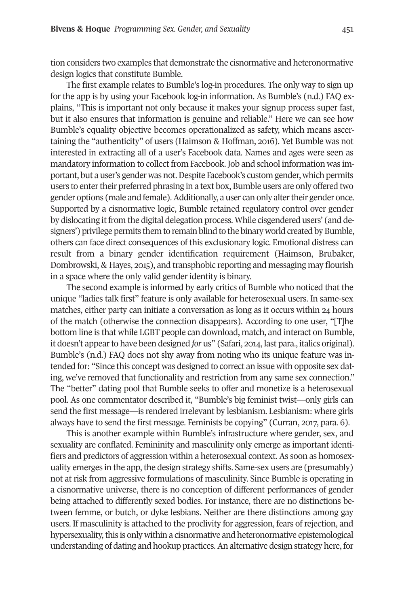tion considers two examples that demonstrate the cisnormative and heteronormative design logics that constitute Bumble.

The first example relates to Bumble's log-in procedures. The only way to sign up for the app is by using your Facebook log-in information. As Bumble's (n.d.) FAQ explains, "This is important not only because it makes your signup process super fast, but it also ensures that information is genuine and reliable." Here we can see how Bumble's equality objective becomes operationalized as safety, which means ascertaining the "authenticity" of users (Haimson & Hoffman, 2016). Yet Bumble was not interested in extracting all of a user's Facebook data. Names and ages were seen as mandatory information to collect from Facebook. Job and school information was important, but a user's gender was not.Despite Facebook's custom gender, which permits users to enter their preferred phrasing in a text box, Bumble users are only offered two gender options (male and female). Additionally, a user can only alter their gender once. Supported by a cisnormative logic, Bumble retained regulatory control over gender by dislocating itfrom the digital delegation process. While cisgendered users' (and designers') privilege permits them to remain blind to the binary world created by Bumble, others can face direct consequences of this exclusionary logic. Emotional distress can result from a binary gender identification requirement (Haimson, Brubaker, Dombrowski, & Hayes, 2015), and transphobic reporting and messaging may flourish in a space where the only valid gender identity is binary.

The second example is informed by early critics of Bumble who noticed that the unique "ladies talk first" feature is only available for heterosexual users. In same-sex matches, either party can initiate a conversation as long as it occurs within 24 hours of the match (otherwise the connection disappears). According to one user, "[T]he bottom line is that while LGBT people can download, match, and interact on Bumble, it doesn't appearto have been designed *for* us" (Safari, 2014, last para., italics original). Bumble's (n.d.) FAQ does not shy away from noting who its unique feature was intended for: "Since this concept was designed to correct an issue with opposite sex dating, we've removed that functionality and restriction from any same sex connection." The "better" dating pool that Bumble seeks to offer and monetize is a heterosexual pool. As one commentator described it, "Bumble's big feminist twist—only girls can send the first message—is rendered irrelevant by lesbianism. Lesbianism: where girls always have to send the first message. Feminists be copying" (Curran, 2017, para. 6).

This is another example within Bumble's infrastructure where gender, sex, and sexuality are conflated. Femininity and masculinity only emerge as important identifiers and predictors of aggression within a heterosexual context. As soon as homosexuality emerges in the app, the design strategy shifts. Same-sex users are (presumably) not at risk from aggressive formulations of masculinity. Since Bumble is operating in a cisnormative universe, there is no conception of different performances of gender being attached to differently sexed bodies. For instance, there are no distinctions between femme, or butch, or dyke lesbians. Neither are there distinctions among gay users. If masculinity is attached to the proclivity for aggression, fears of rejection, and hypersexuality, this is only within a cisnormative and heteronormative epistemological understanding of dating and hookup practices.An alternative design strategy here, for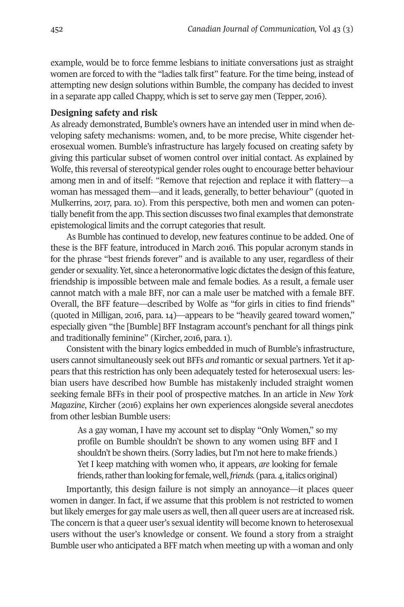example, would be to force femme lesbians to initiate conversations just as straight women are forced to with the "ladies talk first" feature. For the time being, instead of attempting new design solutions within Bumble, the company has decided to invest in a separate app called Chappy, which is set to serve gay men (Tepper, 2016).

## **Designing safety and risk**

As already demonstrated, Bumble's owners have an intended user in mind when developing safety mechanisms: women, and, to be more precise, White cisgender heterosexual women. Bumble's infrastructure has largely focused on creating safety by giving this particular subset of women control over initial contact. As explained by Wolfe, this reversal of stereotypical gender roles ought to encourage better behaviour among men in and of itself: "Remove that rejection and replace it with flattery—a woman has messaged them—and it leads, generally, to better behaviour" (quoted in Mulkerrins, 2017, para. 10). From this perspective, both men and women can potentially benefit from the app. This section discusses two final examples that demonstrate epistemological limits and the corrupt categories that result.

As Bumble has continued to develop, new features continue to be added. One of these is the BFF feature, introduced in March 2016. This popular acronym stands in for the phrase "best friends forever" and is available to any user, regardless of their gender or sexuality.Yet, since a heteronormative logic dictates the design ofthis feature, friendship is impossible between male and female bodies. As a result, a female user cannot match with a male BFF, nor can a male user be matched with a female BFF. Overall, the BFF feature—described by Wolfe as "for girls in cities to find friends" (quoted in Milligan, 2016, para. 14)—appears to be "heavily geared toward women," especially given "the [Bumble] BFF Instagram account's penchant for all things pink and traditionally feminine" (Kircher, 2016, para. 1).

Consistent with the binary logics embedded in much of Bumble's infrastructure, users cannot simultaneously seek out BFFs *and* romantic or sexual partners. Yet it appears that this restriction has only been adequately tested for heterosexual users: lesbian users have described how Bumble has mistakenly included straight women seeking female BFFs in their pool of prospective matches. In an article in *New York Magazine*, Kircher (2016) explains her own experiences alongside several anecdotes from other lesbian Bumble users:

As a gay woman, I have my account set to display "Only Women," so my profile on Bumble shouldn't be shown to any women using BFF and I shouldn't be shown theirs. (Sorry ladies, but I'm not here to make friends.) Yet I keep matching with women who, it appears, *are* looking for female friends, rather than looking for female, well, *friends*. (para. 4, italics original)

Importantly, this design failure is not simply an annoyance—it places queer women in danger. In fact, if we assume that this problem is not restricted to women but likely emerges for gay male users as well, then all queer users are at increased risk. The concern is that a queer user's sexual identity will become known to heterosexual users without the user's knowledge or consent. We found a story from a straight Bumble user who anticipated a BFF match when meeting up with a woman and only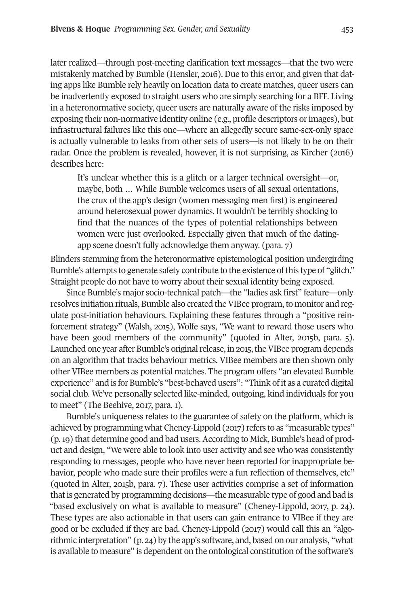later realized—through post-meeting clarification text messages—that the two were mistakenly matched by Bumble (Hensler, 2016). Due to this error, and given that dating apps like Bumble rely heavily on location data to create matches, queer users can be inadvertently exposed to straight users who are simply searching for a BFF. Living in a heteronormative society, queer users are naturally aware of the risks imposed by exposing their non-normative identity online (e.g., profile descriptors orimages), but infrastructural failures like this one—where an allegedly secure same-sex-only space is actually vulnerable to leaks from other sets of users—is not likely to be on their radar. Once the problem is revealed, however, it is not surprising, as Kircher (2016) describes here:

It's unclear whether this is a glitch or a larger technical oversight—or, maybe, both … While Bumble welcomes users of all sexual orientations, the crux of the app's design (women messaging men first) is engineered around heterosexual power dynamics. It wouldn't be terribly shocking to find that the nuances of the types of potential relationships between women were just overlooked. Especially given that much of the datingapp scene doesn't fully acknowledge them anyway. (para. 7)

Blinders stemming from the heteronormative epistemological position undergirding Bumble's attempts to generate safety contribute to the existence of this type of "glitch." Straight people do not have to worry about their sexual identity being exposed.

Since Bumble's major socio-technical patch—the "ladies ask first" feature—only resolves initiation rituals, Bumble also created the VIBee program, to monitor and regulate post-initiation behaviours. Explaining these features through a "positive reinforcement strategy" (Walsh, 2015), Wolfe says, "We want to reward those users who have been good members of the community" (quoted in Alter, 2015b, para. 5). Launched one year after Bumble's original release, in 2015, the VIBee program depends on an algorithm that tracks behaviour metrics. VIBee members are then shown only other VIBee members as potential matches. The program offers "an elevated Bumble experience" and is for Bumble's "best-behaved users": "Think of it as a curated digital social club. We've personally selected like-minded, outgoing, kind individuals for you to meet" (The Beehive, 2017, para. 1).

Bumble's uniqueness relates to the guarantee of safety on the platform, which is achieved by programming what Cheney-Lippold (2017) refers to as "measurable types" (p.19) that determine good and bad users. According to Mick, Bumble's head of product and design, "We were able to look into user activity and see who was consistently responding to messages, people who have never been reported for inappropriate behavior, people who made sure their profiles were a fun reflection of themselves, etc" (quoted in Alter, 2015b, para. 7). These user activities comprise a set of information thatis generated by programming decisions—the measurable type of good and bad is "based exclusively on what is available to measure" (Cheney-Lippold, 2017, p. 24). These types are also actionable in that users can gain entrance to VIBee if they are good or be excluded if they are bad. Cheney-Lippold (2017) would call this an "algorithmic interpretation" (p. 24) by the app's software, and, based on our analysis, "what is available to measure" is dependent on the ontological constitution ofthe software's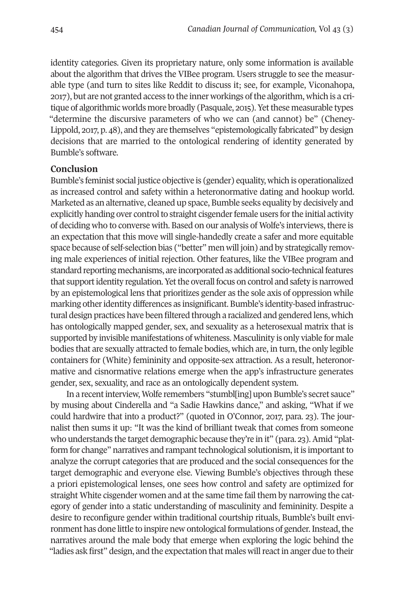identity categories. Given its proprietary nature, only some information is available about the algorithm that drives the VIBee program. Users struggle to see the measurable type (and turn to sites like Reddit to discuss it; see, for example, Viconahopa, 2017), but are not granted access to the inner workings ofthe algorithm, which is a critique of algorithmic worlds more broadly (Pasquale, 2015). Yetthese measurable types "determine the discursive parameters of who we can (and cannot) be" (Cheney-Lippold, 2017, p. 48), and they are themselves "epistemologically fabricated" by design decisions that are married to the ontological rendering of identity generated by Bumble's software.

## **Conclusion**

Bumble's feminist social justice objective is (gender) equality, which is operationalized as increased control and safety within a heteronormative dating and hookup world. Marketed as an alternative, cleaned up space, Bumble seeks equality by decisively and explicitly handing over control to straight cisgender female users for the initial activity of deciding who to converse with. Based on our analysis of Wolfe's interviews, there is an expectation that this move will single-handedly create a safer and more equitable space because of self-selection bias ("better" men will join) and by strategically removing male experiences of initial rejection. Other features, like the VIBee program and standard reporting mechanisms, are incorporated as additional socio-technicalfeatures that support identity regulation. Yet the overall focus on control and safety is narrowed by an epistemological lens that prioritizes gender as the sole axis of oppression while marking other identity differences as insignificant. Bumble's identity-based infrastructural design practices have been filtered through a racialized and gendered lens, which has ontologically mapped gender, sex, and sexuality as a heterosexual matrix that is supported by invisible manifestations of whiteness. Masculinity is only viable for male bodies that are sexually attracted to female bodies, which are, in turn, the only legible containers for (White) femininity and opposite-sex attraction. As a result, heteronormative and cisnormative relations emerge when the app's infrastructure generates gender, sex, sexuality, and race as an ontologically dependent system.

In a recent interview, Wolfe remembers "stumbl[ing] upon Bumble's secret sauce" by musing about Cinderella and "a Sadie Hawkins dance," and asking, "What if we could hardwire that into a product?" (quoted in O'Connor, 2017, para. 23). The journalist then sums it up: "It was the kind of brilliant tweak that comes from someone who understands the target demographic because they're in it" (para. 23). Amid "platform for change" narratives and rampant technological solutionism, it is important to analyze the corrupt categories that are produced and the social consequences for the target demographic and everyone else. Viewing Bumble's objectives through these a priori epistemological lenses, one sees how control and safety are optimized for straight White cisgender women and at the same time fail them by narrowing the category of gender into a static understanding of masculinity and femininity. Despite a desire to reconfigure gender within traditional courtship rituals, Bumble's built environment has done little to inspire new ontological formulations of gender. Instead, the narratives around the male body that emerge when exploring the logic behind the "ladies ask first" design, and the expectation that males willreactin anger due to their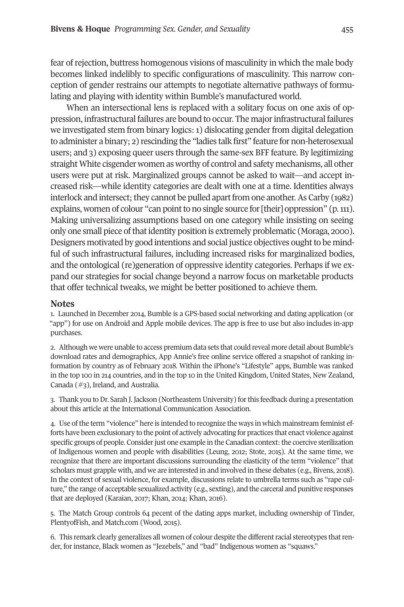fear ofrejection, buttress homogenous visions of masculinity in which the male body becomes linked indelibly to specific configurations of masculinity. This narrow conception of gender restrains our attempts to negotiate alternative pathways of formulating and playing with identity within Bumble's manufactured world.

When an intersectional lens is replaced with a solitary focus on one axis of oppression, infrastructural failures are bound to occur. The majorinfrastructural failures we investigated stem from binary logics: 1) dislocating gender from digital delegation to administer a binary; 2) rescinding the "ladies talk first" feature for non-heterosexual users; and 3) exposing queer users through the same-sex BFF feature. By legitimizing straight White cisgender women as worthy of control and safety mechanisms, all other users were put at risk. Marginalized groups cannot be asked to wait—and accept increased risk—while identity categories are dealt with one at a time. Identities always interlock and intersect; they cannot be pulled apart from one another. As Carby (1982) explains, women of colour "can point to no single source for [their] oppression" (p. 111). Making universalizing assumptions based on one category while insisting on seeing only one small piece ofthatidentity position is extremely problematic (Moraga, 2000). Designers motivated by good intentions and social justice objectives ought to be mindful of such infrastructural failures, including increased risks for marginalized bodies, and the ontological (re)generation of oppressive identity categories. Perhaps if we expand our strategies for social change beyond a narrow focus on marketable products that offer technical tweaks, we might be better positioned to achieve them.

#### **Notes**

1. Launched in December 2014, Bumble is a GPS-based social networking and dating application (or "app") for use on Android and Apple mobile devices. The app is free to use but also includes in-app purchases.

<span id="page-14-0"></span>2. Although we were unable to access premium data sets that could reveal more detail about Bumble's download rates and demographics, App Annie's free online service offered a snapshot of ranking information by country as of February 2018. Within the iPhone's "Lifestyle" apps, Bumble was ranked in the top 100 in 214 countries, and in the top 10 in the United Kingdom, United States, New Zealand, Canada (#3), Ireland, and Australia.

<span id="page-14-1"></span>3. Thank you to Dr. Sarah J. Jackson (Northeastern University) for this feedback during a presentation about this article at the International Communication Association.

4. Use ofthe term "violence" here is intended to recognize the ways in which mainstream feminist efforts have been exclusionary to the point of actively advocating for practices that enact violence against specific groups of people. Consider just one example in the Canadian context: the coercive sterilization of Indigenous women and people with disabilities (Leung, 2012; Stote, 2015). At the same time, we recognize that there are important discussions surrounding the elasticity of the term "violence" that scholars must grapple with, and we are interested in and involved in these debates (e.g., Bivens, 2018). In the context of sexual violence, for example, discussions relate to umbrella terms such as "rape culture," the range of acceptable sexualized activity (e.g., sexting), and the carceral and punitive responses that are deployed (Karaian, 2017; Khan, 2014; Khan, 2016).

5. The Match Group controls 64 pecent of the dating apps market, including ownership of Tinder, PlentyofFish, and Match.com (Wood, 2015).

<span id="page-14-2"></span>6. This remark clearly generalizes all women of colour despite the differentracial stereotypes thatrender, for instance, Black women as "Jezebels," and "bad" Indigenous women as "squaws."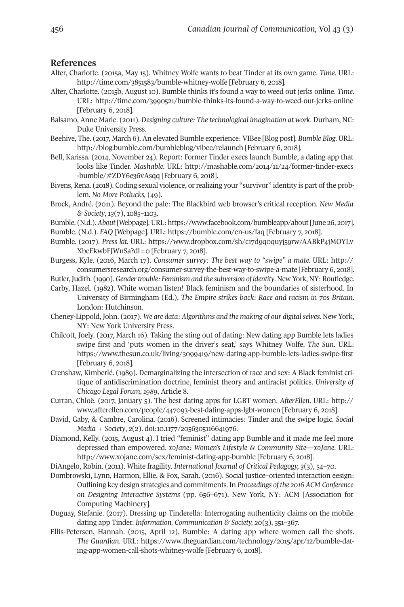## **References**

- Alter, Charlotte. (2015a, May 15). Whitney Wolfe wants to beat Tinder at its own game. *Time*. URL: <http://time.com/3851583/bumble-whitney-wolfe> [February 6, 2018].
- Alter, Charlotte. (2015b, August 10). Bumble thinks it's found a way to weed out jerks online. *Time*. URL: [http://time.com/3990521/bumble-thinks-its-found-a-way-to-weed-out-jerks-online](http://time.com/3990521/bumble-thinks-its-found-a-way-to-weed-out-jerks-online ) [February 6, 2018].
- Balsamo, Anne Marie. (2011). *Designing culture: The technological imagination at work*. Durham, NC: Duke University Press.
- Beehive, The. (2017, March 6). An elevated Bumble experience: VIBee [Blog post]. *Bumble Blog*. URL: [http://blog.bumble.com/bumbleblog/vibee/relaunch](http://time.com/3990521/bumble-thinks-its-found-a-way-to-weed-out-jerks-online ) [February 6, 2018].
- Bell, Karissa. (2014, November 24). Report: Former Tinder execs launch Bumble, a dating app that looks like Tinder. *Mashable*. URL: [http://mashable.com/2014/11/24/former-tinder-execs](http://mashable.com/2014/11/24/former-tinder-execs-bumble/#ZDY6e36vAsqq) [-bumble/#ZDY6e36vAsqq](http://mashable.com/2014/11/24/former-tinder-execs-bumble/#ZDY6e36vAsqq) [February 6, 2018].
- Bivens, Rena. (2018). Coding sexual violence, or realizing your "survivor" identity is part of the problem. *No More Potlucks,* (49).
- Brock, André. (2011). Beyond the pale: The Blackbird web browser's critical reception. *New Media & Society*, *13*(7), 1085–1103.
- Bumble. (N.d.).*About* [Webpage].URL: <https://www.facebook.com/bumbleapp/about>[June 26, 2017].

Bumble. (N.d.). *FAQ* [Webpage]. URL: <https://bumble.com/en-us/faq> [February 7, 2018].

- Bumble. (2017). *Press kit.* URL: [https://www.dropbox.com/sh/c17d9q0quyj59rw/AABkP4jMOYLv](https://www.dropbox.com/sh/c17d9q0quyj59rw/AABkP4jMOYLvXbeEkwbFJWnSa?dl=0) [XbeEkwbFJWnSa?dl=0](https://www.dropbox.com/sh/c17d9q0quyj59rw/AABkP4jMOYLvXbeEkwbFJWnSa?dl=0) [February 7, 2018].
- Burgess, Kyle. (2016, March 17). *Consumer survey: The best way to "swipe" a mate.* URL: [http://](http://consumersresearch.org/consumer-survey-the-best-way-to-swipe-a-mate) [consumersresearch.org/consumer-survey-the-best-way-to-swipe-a-mate](http://consumersresearch.org/consumer-survey-the-best-way-to-swipe-a-mate) [February 6, 2018].
- Butler,Judith. (1990).*Gendertrouble: Feminism and the subversion of identity*. New York, NY:Routledge.
- Carby, Hazel. (1982). White woman listen! Black feminism and the boundaries of sisterhood. In University of Birmingham (Ed.), *The Empire strikes back: Race and racism in 70s Britain*. London: Hutchinson.
- Cheney-Lippold, John. (2017). *We are data: Algorithms and the making of our digitalselves*. New York, NY: New York University Press.
- Chilcott, Joely. (2017, March 16). Taking the sting out of dating: New dating app Bumble lets ladies swipe first and 'puts women in the driver's seat,' says Whitney Wolfe. *The Sun*. URL: [https://www.thesun.co.uk/living/3099419/new-dating-app-bumble-lets-ladies-swipe-first](https://www.thesun.co.uk/living/3099419/new-dating-app-bumble-lets-ladies-swipe-first ) [February 6, 2018].
- Crenshaw, Kimberlé. (1989). Demarginalizing the intersection of race and sex: A Black feminist critique of antidiscrimination doctrine, feminist theory and antiracist politics. *University of Chicago Legal Forum*, *1989*, Article 8.
- Curran, Chloë. (2017, January 5). The best dating apps for LGBT women. *[AfterEllen](https://www.thesun.co.uk/living/3099419/new-dating-app-bumble-lets-ladies-swipe-first )*. URL: [http://](http://www.afterellen.com/people/447093-best-dating-apps-lgbt-women) [www.afterellen.com/people/447093-best-dating-apps-lgbt-women](http://www.afterellen.com/people/447093-best-dating-apps-lgbt-women) [February 6, 2018].
- David, Gaby, & Cambre, Carolina. (2016). Screened intimacies: Tinder and the swipe logic. *Social Media + Society*, *2*(2). [doi:10.1177/2056305116641976.](http://doi.org/10.1177/2056305116641976)
- Diamond, Kelly. (2015, August 4). I tried "feminist" dating app Bumble and it made me feel more depressed than empowered. *xoJane: Women's Lifestyle & Community Site—xoJane*. URL: <http://www.xojane.com/sex/feminist-dating-app-bumble> [February 6, 2018].
- DiAngelo, Robin. (2011). White fragility. *International Journal of Critical Pedagogy, 3*(3), 54–70.
- Dombrowski, Lynn, Harmon, Ellie, & Fox, Sarah. (2016). Social justice–oriented interaction eesign: Outlining key design strategies and commitments. In *Proceedings of the 2016 ACM Conference on Designing Interactive Systems* (pp. 656–671). New York, NY: ACM [Association for Computing Machinery].
- Duguay, Stefanie. (2017). Dressing up Tinderella: Interrogating authenticity claims on the mobile dating app Tinder. *Information, Communication & Society, 20*(3), 351–367.
- Ellis-Petersen, Hannah. (2015, April 12). Bumble: A dating app where women call the shots. *The Guardian*. URL: [https://www.theguardian.com/technology/2015/apr/12/bumble-dat](https://www.theguardian.com/technology/2015/apr/12/bumble-dating-app-women-call-shots-whitney-wolfe)[ing-app-women-call-shots-whitney-wolfe](https://www.theguardian.com/technology/2015/apr/12/bumble-dating-app-women-call-shots-whitney-wolfe) [February 6, 2018].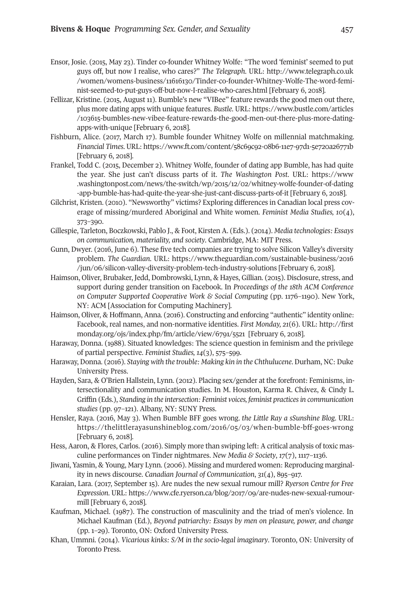- Ensor, Josie. (2015, May 23). Tinder co-founder Whitney Wolfe: "The word 'feminist' seemed to put guys off, but now I realise, who cares?" *The Telegraph*. URL: [http://www.telegraph.co.uk](http://www.telegraph.co.uk/women/womens-business/11616130/Tinder-co-founder-Whitney-Wolfe-The-word-feminist-seemed-to-put-guys-off-but-now-I-realise-who-cares.html) [/women/womens-business/11616130/Tinder-co-founder-Whitney-Wolfe-The-word-femi](http://www.telegraph.co.uk/women/womens-business/11616130/Tinder-co-founder-Whitney-Wolfe-The-word-feminist-seemed-to-put-guys-off-but-now-I-realise-who-cares.html)[nist-seemed-to-put-guys-off-but-now-I-realise-who-cares.html](http://www.telegraph.co.uk/women/womens-business/11616130/Tinder-co-founder-Whitney-Wolfe-The-word-feminist-seemed-to-put-guys-off-but-now-I-realise-who-cares.html) [February 6, 2018].
- Fellizar, Kristine. (2015, August 11). Bumble's new "VIBee" feature rewards the good men out there, plus more dating apps with unique features. *Bustle*. URL: [https://www.bustle.com/articles](https://www.bustle.com/articles/103615-bumbles-new-vibee-feature-rewards-the-good-men-out-there-plus-more-dating-apps-with-unique) [/103615-bumbles-new-vibee-feature-rewards-the-good-men-out-there-plus-more-dating](https://www.bustle.com/articles/103615-bumbles-new-vibee-feature-rewards-the-good-men-out-there-plus-more-dating-apps-with-unique)[apps-with-unique](https://www.bustle.com/articles/103615-bumbles-new-vibee-feature-rewards-the-good-men-out-there-plus-more-dating-apps-with-unique) [February 6, 2018].
- Fishburn, Alice. (2017, March 17). Bumble founder Whitney Wolfe on millennial matchmaking. *Financial Times*. URL: [https://www.ft.com/content/58c69c92-08b6-11e7-97d1-5e720a26771b](https://www.ft.com/content/58c69c92-08b6-11e7-97d1-5e720a26771b ) [February 6, 2018].
- Frankel, Todd C. (2015, December 2). Whitney Wolfe, founder of dating app Bumble, has had quite the year. She just can't discuss parts of it. *The [Washington](https://www.ft.com/content/58c69c92-08b6-11e7-97d1-5e720a26771b ) Post*. URL: [https://www](https://www.washingtonpost.com/news/the-switch/wp/2015/12/02/whitney-wolfe-founder-of-dating-app-bumble-has-had-quite-the-year-she-just-cant-discuss-parts-of-it) [.washingtonpost.com/news/the-switch/wp/2015/12/02/whitney-wolfe-founder-of-dating](https://www.washingtonpost.com/news/the-switch/wp/2015/12/02/whitney-wolfe-founder-of-dating-app-bumble-has-had-quite-the-year-she-just-cant-discuss-parts-of-it) [-app-bumble-has-had-quite-the-year-she-just-cant-discuss-parts-of-it](https://www.washingtonpost.com/news/the-switch/wp/2015/12/02/whitney-wolfe-founder-of-dating-app-bumble-has-had-quite-the-year-she-just-cant-discuss-parts-of-it) [February 6, 2018].
- Gilchrist, Kristen. (2010). "Newsworthy" victims? Exploring differences in Canadian local press coverage of missing/murdered Aboriginal and White women. *Feminist Media Studies, 10*(4), 373–390.
- Gillespie, Tarleton, Boczkowski, Pablo J., & Foot, Kirsten A. (Eds.). (2014). *Media technologies: Essays on communication, materiality, and society*. Cambridge, MA: MIT Press.
- Gunn, Dwyer. (2016, June 6). These five tech companies are trying to solve Silicon Valley's diversity problem. *The Guardian*. URL: [https://www.theguardian.com/sustainable-business/2016](https://www.theguardian.com/sustainable-business/2016/jun/06/silicon-valley-diversity-problem-tech-industry-solutions) [/jun/06/silicon-valley-diversity-problem-tech-industry-solutions](https://www.theguardian.com/sustainable-business/2016/jun/06/silicon-valley-diversity-problem-tech-industry-solutions) [February 6, 2018].
- Haimson, Oliver, Brubaker, Jedd, Dombrowski, Lynn, & Hayes, Gillian. (2015). Disclosure, stress, and support during gender transition on Facebook. In *Proceedings of the 18th ACM Conference on Computer Supported Cooperative Work & Social Computing* (pp. 1176–1190). New York, NY: ACM [Association for Computing Machinery].
- Haimson, Oliver, & Hoffmann, Anna. (2016). Constructing and enforcing "authentic" identity online: Facebook, real names, and non-normative identities. *First Monday, 21*(6). URL: [http://first](http://firstmonday.org/ojs/index.php/fm/article/view/6791/5521 ) [monday.org/ojs/index.php/fm/article/view/6791/5521](http://firstmonday.org/ojs/index.php/fm/article/view/6791/5521 ) [February 6, 2018].
- Haraway, Donna. (1988). Situated knowledges: The science question in feminism and the privilege of partial perspective. *Feminist Studies, 14*(3), 575–599.
- Haraway, Donna. (2016). *Staying with the trouble: Making kin in the Chthulucene*. Durham, NC: Duke University Press.
- Hayden, Sara, & O'Brien Hallstein, Lynn. (2012). Placing sex/gender at the forefront: Feminisms, intersectionality and communication studies. In M. Houston, Karma R. Chávez, & Cindy L. Griffin (Eds.), *Standing in the intersection: Feminist voices, feminist practicesin communication studies* (pp. 97–121). Albany, NY: SUNY Press.
- Hensler, Raya. (2016, May 3). When Bumble BFF goes wrong. *the Little Ray a sSunshine Blog*. URL: <https://thelittlerayasunshineblog.com/2016/05/03/when-bumble-bff-goes-wrong> [February 6, 2018].
- Hess, Aaron, & Flores, Carlos. (2016). Simply more than swiping left: A critical analysis of toxic masculine performances on Tinder nightmares. *New Media & Society*, *17*(7), 1117–1136.
- Jiwani, Yasmin, & Young, Mary Lynn. (2006). Missing and murdered women: Reproducing marginality in news discourse. *Canadian Journal of Communication*, *31*(4), 895–917.
- Karaian, Lara. (2017, September 15). Are nudes the new sexual rumour mill? *Ryerson Centre for Free Expression*. URL: [https://www.cfe.ryerson.ca/blog/2017/09/are-nudes-new-sexual-rumour](https://www.cfe.ryerson.ca/blog/2017/09/are-nudes-new-sexual-rumour-mill)[mill](https://www.cfe.ryerson.ca/blog/2017/09/are-nudes-new-sexual-rumour-mill) [February 6, 2018].
- Kaufman, Michael. (1987). The construction of masculinity and the triad of men's violence. In Michael Kaufman (Ed.), *Beyond patriarchy: Essays by men on pleasure, power, and change* (pp. 1–29). Toronto, ON: Oxford University Press.
- Khan, Ummni. (2014). *Vicarious kinks: S/M in the socio-legal imaginary*. Toronto, ON: University of Toronto Press.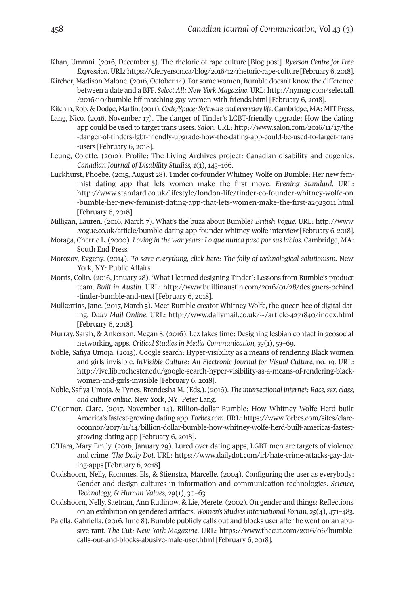- Khan, Ummni. (2016, December 5). The rhetoric of rape culture [Blog post]. *Ryerson Centre for Free Expression*.URL: <https://cfe.ryerson.ca/blog/2016/12/rhetoric-rape-culture> [February 6, 2018].
- Kircher, Madison Malone. (2016, October14). For some women, Bumble doesn't know the difference between a date and a BFF. *Select All: New York Magazine*. URL: [http://nymag.com/selectall](http://nymag.com/selectall/2016/10/bumble-bff-matching-gay-women-with-friends.html) [/2016/10/bumble-bff-matching-gay-women-with-friends.html](http://nymag.com/selectall/2016/10/bumble-bff-matching-gay-women-with-friends.html) [February 6, 2018].
- Kitchin,Rob,&Dodge, Martin. (2011). *Code/Space: Software and everyday life*.Cambridge, MA: MIT Press.
- Lang, Nico. (2016, November 17). The danger of Tinder's LGBT-friendly upgrade: How the dating app could be used to target trans users. *Salon*. URL: [http://www.salon.com/2016/11/17/the](http://www.salon.com/2016/11/17/the-danger-of-tinders-lgbt-friendly-upgrade-how-the-dating-app-could-be-used-to-target-trans-users) [-danger-of-tinders-lgbt-friendly-upgrade-how-the-dating-app-could-be-used-to-target-trans](http://www.salon.com/2016/11/17/the-danger-of-tinders-lgbt-friendly-upgrade-how-the-dating-app-could-be-used-to-target-trans-users) [-users](http://www.salon.com/2016/11/17/the-danger-of-tinders-lgbt-friendly-upgrade-how-the-dating-app-could-be-used-to-target-trans-users) [February 6, 2018].
- Leung, Colette. (2012). Profile: The Living Archives project: Canadian disability and eugenics. *Canadian Journal of Disability Studies, 1*(1), 143–166.
- Luckhurst, Phoebe. (2015, August 28). Tinder co-founder Whitney Wolfe on Bumble: Her new feminist dating app that lets women make the first move. *Evening Standard*. URL: [http://www.standard.co.uk/lifestyle/london-life/tinder-co-founder-whitney-wolfe-on](http://www.standard.co.uk/lifestyle/london-life/tinder-co-founder-whitney-wolfe-on-bumble-her-new-feminist-dating-app-that-lets-women-make-the-first-a2923011.html) [-bumble-her-new-feminist-dating-app-that-lets-women-make-the-first-a2923011.html](http://www.standard.co.uk/lifestyle/london-life/tinder-co-founder-whitney-wolfe-on-bumble-her-new-feminist-dating-app-that-lets-women-make-the-first-a2923011.html) [February 6, 2018].
- Milligan, Lauren. (2016, March 7). What's the buzz about Bumble? *British Vogue*. URL: [http://www](http://www.vogue.co.uk/article/bumble-dating-app-founder-whitney-wolfe-interview ) [.vogue.co.uk/article/bumble-dating-app-founder-whitney-wolfe-interview](http://www.vogue.co.uk/article/bumble-dating-app-founder-whitney-wolfe-interview ) [February 6, 2018].
- Moraga, Cherrie L. (2000). *Loving in the war years: Lo que nunca paso porsuslabios*. Cambridge, MA: South End Press.
- Morozov, Evgeny. (2014). *To save everything, click here: The folly of technological solutionism*. New York, NY: Public Affairs.
- Morris, Colin. (2016, January 28). 'What I learned designing Tinder': Lessons from Bumble's product team. *Built in Austin*. URL: [http://www.builtinaustin.com/2016/01/28/designers-behind](http://www.builtinaustin.com/2016/01/28/designers-behind-tinder-bumble-and-next) [-tinder-bumble-and-next](http://www.builtinaustin.com/2016/01/28/designers-behind-tinder-bumble-and-next) [February 6, 2018].
- Mulkerrins, Jane. (2017, March 5). Meet Bumble creator Whitney Wolfe, the queen bee of digital dating. *Daily Mail Online*. URL: [http://www.dailymail.co.uk/~/article-4271840/index.html](http://www.dailymail.co.uk/~/article-4271840/index.html ) [February 6, 2018].
- Murray, Sarah, & Ankerson, Megan S. (2016). Lez takes time: Designing lesbian contact in geosocial networking apps. *Critical Studies in Media Communication, 33*(1), 53–69.
- Noble, Safiya Umoja. (2013). Google search: Hyper-visibility as a means of rendering Black women and girls invisible. *InVisible Culture: An Electronic Journal for Visual Culture,* no. 19. URL: [http://ivc.lib.rochester.edu/google-search-hyper-visibility-as-a-means-of-rendering-black](http://www.dailymail.co.uk/~/article-4271840/index.html )[women-and-girls-invisible](http://www.dailymail.co.uk/~/article-4271840/index.html ) [February 6, 2018].
- Noble, Safiya Umoja, & Tynes, Brendesha M. (Eds.). (2016). *The intersectional internet: Race,sex, class, and culture online*. New York, NY: Peter Lang.
- O'Connor, Clare. (2017, November 14). Billion-dollar Bumble: How Whitney Wolfe Herd built America's fastest-growing dating app. *Forbes.com.* URL: [https://www.forbes.com/sites/clare](https://www.forbes.com/sites/clareoconnor/2017/11/14/billion-dollar-bumble-how-whitney-wolfe-herd-built-americas-fastest-growing-dating-app)[oconnor/2017/11/14/billion-dollar-bumble-how-whitney-wolfe-herd-built-americas-fastest](https://www.forbes.com/sites/clareoconnor/2017/11/14/billion-dollar-bumble-how-whitney-wolfe-herd-built-americas-fastest-growing-dating-app)[growing-dating-app](https://www.forbes.com/sites/clareoconnor/2017/11/14/billion-dollar-bumble-how-whitney-wolfe-herd-built-americas-fastest-growing-dating-app) [February 6, 2018].
- O'Hara, Mary Emily. (2016, January 29). Lured over dating apps, LGBT men are targets of violence and crime. *The Daily Dot*. URL: [https://www.dailydot.com/irl/hate-crime-attacks-gay-dat](https://www.dailydot.com/irl/hate-crime-attacks-gay-dating-apps)[ing-apps](https://www.dailydot.com/irl/hate-crime-attacks-gay-dating-apps) [February 6, 2018].
- Oudshoorn, Nelly, Rommes, Els, & Stienstra, Marcelle. (2004). Configuring the user as everybody: Gender and design cultures in information and communication technologies. *Science, Technology, & Human Values, 29*(1), 30–63.
- Oudshoorn, Nelly, Saetnan, Ann Rudinow, & Lie, Merete. (2002). On gender and things: Reflections on an exhibition on gendered artifacts. *Women's StudiesInternational Forum, 25*(4), 471–483.
- Paiella, Gabriella. (2016, June 8). Bumble publicly calls out and blocks user after he went on an abusive rant. *The Cut: New York Magazine*. URL: [https://www.thecut.com/2016/06/bumble](https://www.thecut.com/2016/06/bumble-calls-out-and-blocks-abusive-male-user.html)[calls-out-and-blocks-abusive-male-user.html](https://www.thecut.com/2016/06/bumble-calls-out-and-blocks-abusive-male-user.html) [February 6, 2018].